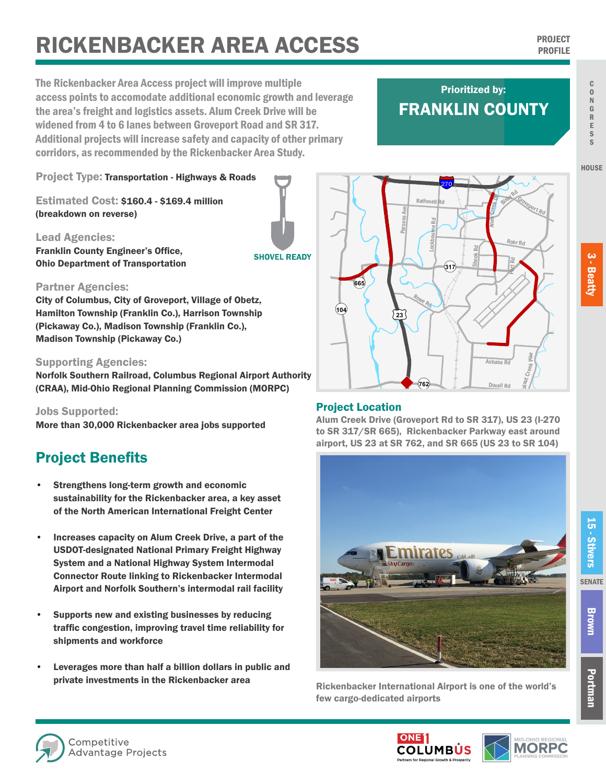# **RICKENBACKER AREA ACCESS PROJECT PROJECT**

The Rickenbacker Area Access project will improve multiple access points to accomodate additional economic growth and leverage the area's freight and logistics assets. Alum Creek Drive will be widened from 4 to 6 lanes between Groveport Road and SR 317. Additional projects will increase safety and capacity of other primary corridors, as recommended by the Rickenbacker Area Study.

## FRANKLIN COUNTY Prioritized by:

§¨¦270

Rathmell Rd

Lockbourne Rd

¬«**317**

Bixtox Rd

Rohr Rd

Port Rd

alnut Creek Pike

Duvall Rd

Airhase <sub>Pr</sub>

Groveport Rd

Alum Creek Dr

Shook Rd

Project Type: Transportation - Highways & Roads

Estimated Cost: \$160.4 - \$169.4 million (breakdown on reverse)

Lead Agencies: Franklin County Engineer's Office, Ohio Department of Transportation

**SHOVEL READY** 

#### Partner Agencies:

City of Columbus, City of Groveport, Village of Obetz, Hamilton Township (Franklin Co.), Harrison Township (Pickaway Co.), Madison Township (Franklin Co.), Madison Township (Pickaway Co.)

#### Supporting Agencies:

Norfolk Southern Railroad, Columbus Regional Airport Authority (CRAA), Mid-Ohio Regional Planning Commission (MORPC)

Jobs Supported:

More than 30,000 Rickenbacker area jobs supported

### Project Benefits

- Strengthens long-term growth and economic sustainability for the Rickenbacker area, a key asset of the North American International Freight Center
- Increases capacity on Alum Creek Drive, a part of the USDOT-designated National Primary Freight Highway System and a National Highway System Intermodal Connector Route linking to Rickenbacker Intermodal Airport and Norfolk Southern's intermodal rail facility
- Supports new and existing businesses by reducing traffic congestion, improving travel time reliability for shipments and workforce
- Leverages more than half a billion dollars in public and private investments in the Rickenbacker area

#### Project Location

¬«**665**

¬«**104**

Alum Creek Drive (Groveport Rd to SR 317), US 23 (I-270 to SR 317/SR 665), Rickenbacker Parkway east around airport, US 23 at SR 762, and SR 665 (US 23 to SR 104)

¬«**762**

 $\blacklozenge$ 

Rowe Rd

 $\overline{23}$ 

Parsons Ave



Rickenbacker International Airport is one of the world's few cargo-dedicated airports







Portman

R E S S

**HOUSE**